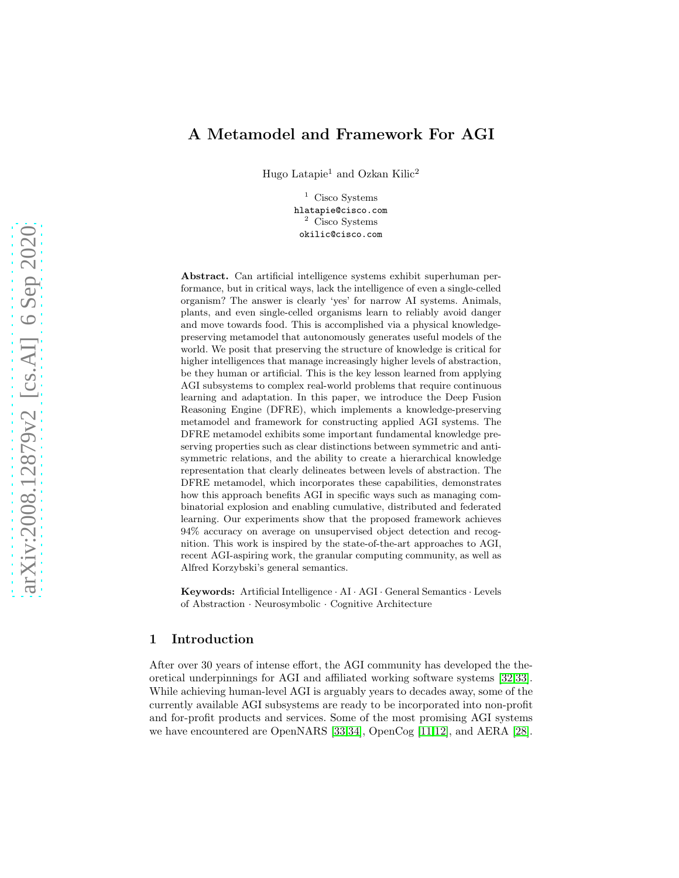# A Metamodel and Framework For AGI

Hugo Latapie<sup>1</sup> and Ozkan Kilic<sup>2</sup>

<sup>1</sup> Cisco Systems hlatapie@cisco.com <sup>2</sup> Cisco Systems okilic@cisco.com

Abstract. Can artificial intelligence systems exhibit superhuman performance, but in critical ways, lack the intelligence of even a single-celled organism? The answer is clearly 'yes' for narrow AI systems. Animals, plants, and even single-celled organisms learn to reliably avoid danger and move towards food. This is accomplished via a physical knowledgepreserving metamodel that autonomously generates useful models of the world. We posit that preserving the structure of knowledge is critical for higher intelligences that manage increasingly higher levels of abstraction, be they human or artificial. This is the key lesson learned from applying AGI subsystems to complex real-world problems that require continuous learning and adaptation. In this paper, we introduce the Deep Fusion Reasoning Engine (DFRE), which implements a knowledge-preserving metamodel and framework for constructing applied AGI systems. The DFRE metamodel exhibits some important fundamental knowledge preserving properties such as clear distinctions between symmetric and antisymmetric relations, and the ability to create a hierarchical knowledge representation that clearly delineates between levels of abstraction. The DFRE metamodel, which incorporates these capabilities, demonstrates how this approach benefits AGI in specific ways such as managing combinatorial explosion and enabling cumulative, distributed and federated learning. Our experiments show that the proposed framework achieves 94% accuracy on average on unsupervised object detection and recognition. This work is inspired by the state-of-the-art approaches to AGI, recent AGI-aspiring work, the granular computing community, as well as Alfred Korzybski's general semantics.

Keywords: Artificial Intelligence · AI · AGI · General Semantics · Levels of Abstraction · Neurosymbolic · Cognitive Architecture

## 1 Introduction

After over 30 years of intense effort, the AGI community has developed the theoretical underpinnings for AGI and affiliated working software systems [\[32](#page-13-0)[,33\]](#page-13-1). While achieving human-level AGI is arguably years to decades away, some of the currently available AGI subsystems are ready to be incorporated into non-profit and for-profit products and services. Some of the most promising AGI systems we have encountered are OpenNARS [\[33](#page-13-1)[,34\]](#page-13-2), OpenCog [\[11](#page-12-0)[,12\]](#page-12-1), and AERA [\[28\]](#page-13-3).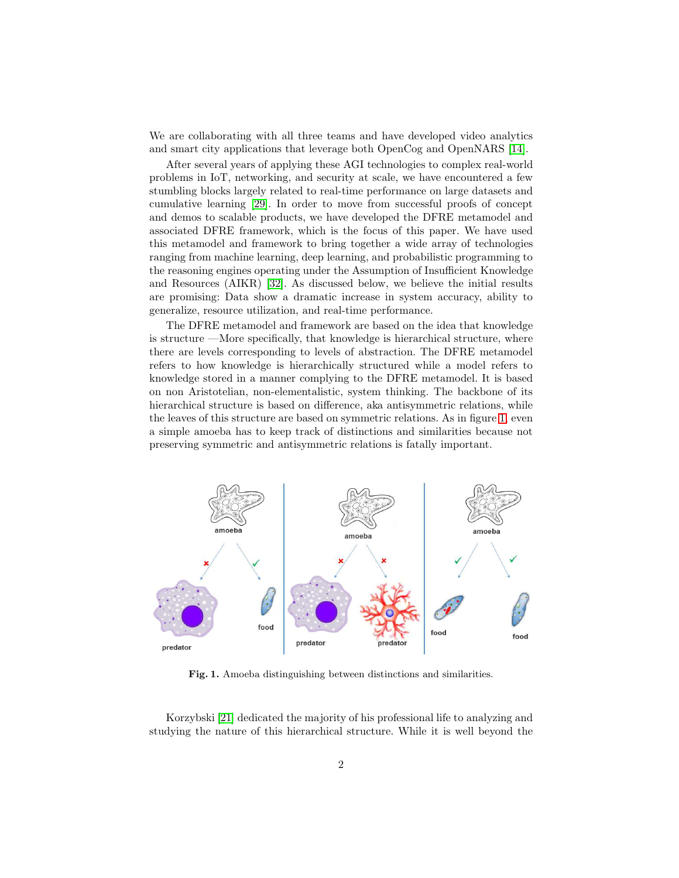We are collaborating with all three teams and have developed video analytics and smart city applications that leverage both OpenCog and OpenNARS [\[14\]](#page-12-2).

After several years of applying these AGI technologies to complex real-world problems in IoT, networking, and security at scale, we have encountered a few stumbling blocks largely related to real-time performance on large datasets and cumulative learning [\[29\]](#page-13-4). In order to move from successful proofs of concept and demos to scalable products, we have developed the DFRE metamodel and associated DFRE framework, which is the focus of this paper. We have used this metamodel and framework to bring together a wide array of technologies ranging from machine learning, deep learning, and probabilistic programming to the reasoning engines operating under the Assumption of Insufficient Knowledge and Resources (AIKR) [\[32\]](#page-13-0). As discussed below, we believe the initial results are promising: Data show a dramatic increase in system accuracy, ability to generalize, resource utilization, and real-time performance.

The DFRE metamodel and framework are based on the idea that knowledge is structure —More specifically, that knowledge is hierarchical structure, where there are levels corresponding to levels of abstraction. The DFRE metamodel refers to how knowledge is hierarchically structured while a model refers to knowledge stored in a manner complying to the DFRE metamodel. It is based on non Aristotelian, non-elementalistic, system thinking. The backbone of its hierarchical structure is based on difference, aka antisymmetric relations, while the leaves of this structure are based on symmetric relations. As in figure [1,](#page-1-0) even a simple amoeba has to keep track of distinctions and similarities because not preserving symmetric and antisymmetric relations is fatally important.



<span id="page-1-0"></span>Fig. 1. Amoeba distinguishing between distinctions and similarities.

Korzybski [\[21\]](#page-12-3) dedicated the majority of his professional life to analyzing and studying the nature of this hierarchical structure. While it is well beyond the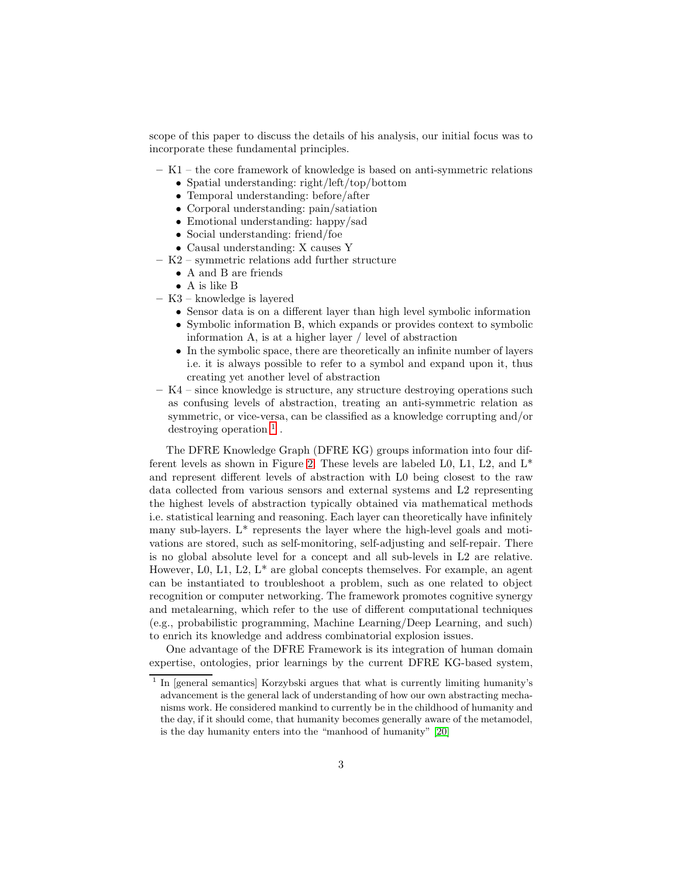scope of this paper to discuss the details of his analysis, our initial focus was to incorporate these fundamental principles.

- K1 the core framework of knowledge is based on anti-symmetric relations
	- Spatial understanding: right/left/top/bottom
	- Temporal understanding: before/after
	- Corporal understanding: pain/satiation
	- Emotional understanding: happy/sad
	- Social understanding: friend/foe
	- Causal understanding: X causes Y
- K2 symmetric relations add further structure
	- A and B are friends
	- A is like B
- K3 knowledge is layered
	- Sensor data is on a different layer than high level symbolic information
	- Symbolic information B, which expands or provides context to symbolic information A, is at a higher layer / level of abstraction
	- In the symbolic space, there are theoretically an infinite number of layers i.e. it is always possible to refer to a symbol and expand upon it, thus creating yet another level of abstraction
- K4 since knowledge is structure, any structure destroying operations such as confusing levels of abstraction, treating an anti-symmetric relation as symmetric, or vice-versa, can be classified as a knowledge corrupting and/or destroying operation  $<sup>1</sup>$  $<sup>1</sup>$  $<sup>1</sup>$ .</sup>

The DFRE Knowledge Graph (DFRE KG) groups information into four dif-ferent levels as shown in Figure [2.](#page-3-0) These levels are labeled L0, L1, L2, and  $L^*$ and represent different levels of abstraction with L0 being closest to the raw data collected from various sensors and external systems and L2 representing the highest levels of abstraction typically obtained via mathematical methods i.e. statistical learning and reasoning. Each layer can theoretically have infinitely many sub-layers. L\* represents the layer where the high-level goals and motivations are stored, such as self-monitoring, self-adjusting and self-repair. There is no global absolute level for a concept and all sub-levels in L2 are relative. However, L0, L1, L2,  $L^*$  are global concepts themselves. For example, an agent can be instantiated to troubleshoot a problem, such as one related to object recognition or computer networking. The framework promotes cognitive synergy and metalearning, which refer to the use of different computational techniques (e.g., probabilistic programming, Machine Learning/Deep Learning, and such) to enrich its knowledge and address combinatorial explosion issues.

One advantage of the DFRE Framework is its integration of human domain expertise, ontologies, prior learnings by the current DFRE KG-based system,

<span id="page-2-0"></span><sup>&</sup>lt;sup>1</sup> In [general semantics] Korzybski argues that what is currently limiting humanity's advancement is the general lack of understanding of how our own abstracting mechanisms work. He considered mankind to currently be in the childhood of humanity and the day, if it should come, that humanity becomes generally aware of the metamodel, is the day humanity enters into the "manhood of humanity" [\[20\]](#page-12-4)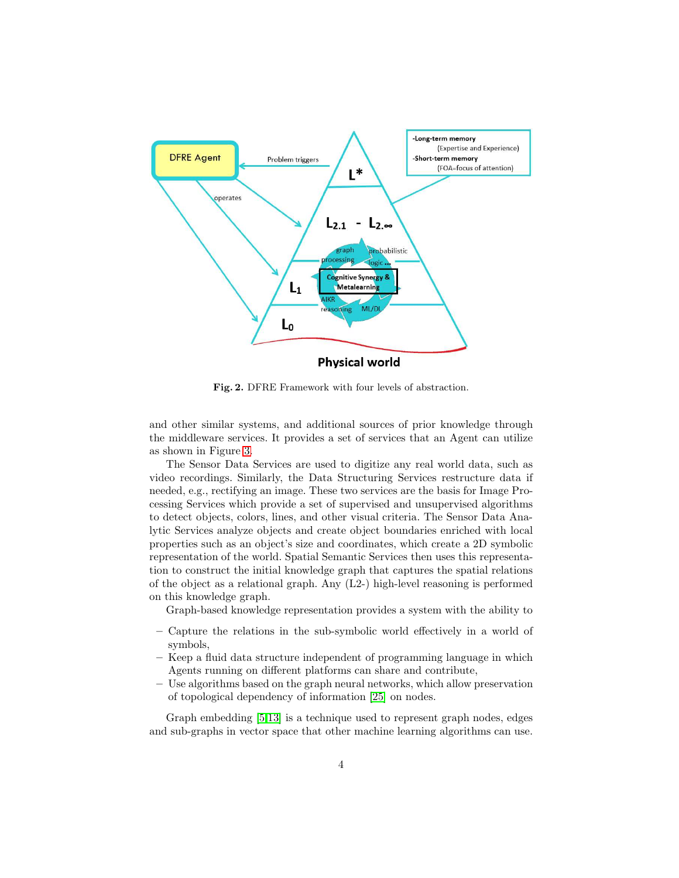

<span id="page-3-0"></span>Fig. 2. DFRE Framework with four levels of abstraction.

and other similar systems, and additional sources of prior knowledge through the middleware services. It provides a set of services that an Agent can utilize as shown in Figure [3.](#page-4-0)

The Sensor Data Services are used to digitize any real world data, such as video recordings. Similarly, the Data Structuring Services restructure data if needed, e.g., rectifying an image. These two services are the basis for Image Processing Services which provide a set of supervised and unsupervised algorithms to detect objects, colors, lines, and other visual criteria. The Sensor Data Analytic Services analyze objects and create object boundaries enriched with local properties such as an object's size and coordinates, which create a 2D symbolic representation of the world. Spatial Semantic Services then uses this representation to construct the initial knowledge graph that captures the spatial relations of the object as a relational graph. Any (L2-) high-level reasoning is performed on this knowledge graph.

Graph-based knowledge representation provides a system with the ability to

- Capture the relations in the sub-symbolic world effectively in a world of symbols,
- Keep a fluid data structure independent of programming language in which Agents running on different platforms can share and contribute,
- Use algorithms based on the graph neural networks, which allow preservation of topological dependency of information [\[25\]](#page-13-5) on nodes.

Graph embedding [\[5,](#page-12-5)[13\]](#page-12-6) is a technique used to represent graph nodes, edges and sub-graphs in vector space that other machine learning algorithms can use.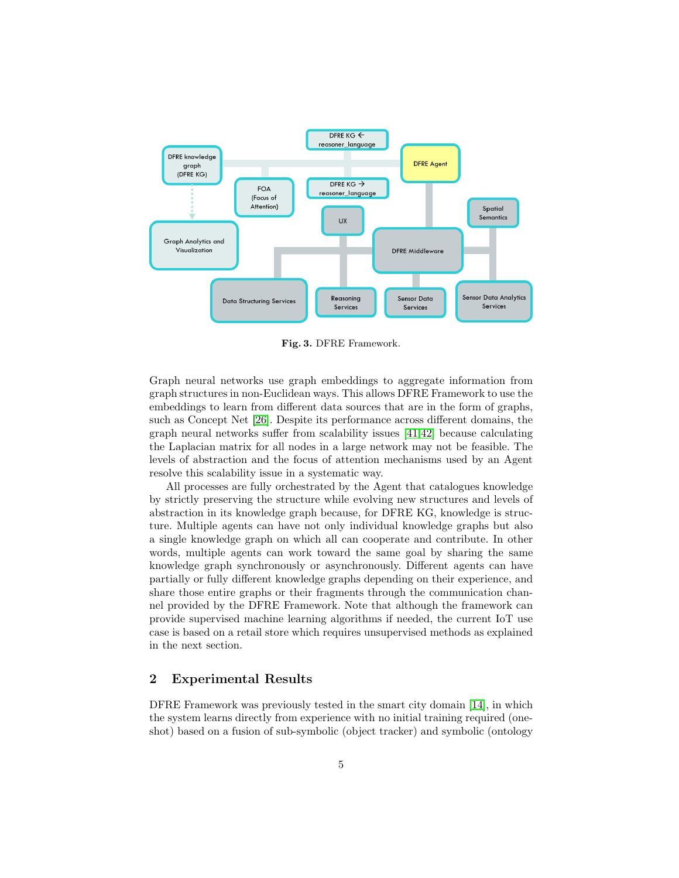

<span id="page-4-0"></span>Fig. 3. DFRE Framework.

Graph neural networks use graph embeddings to aggregate information from graph structures in non-Euclidean ways. This allows DFRE Framework to use the embeddings to learn from different data sources that are in the form of graphs, such as Concept Net [\[26\]](#page-13-6). Despite its performance across different domains, the graph neural networks suffer from scalability issues [\[41,](#page-13-7)[42\]](#page-13-8) because calculating the Laplacian matrix for all nodes in a large network may not be feasible. The levels of abstraction and the focus of attention mechanisms used by an Agent resolve this scalability issue in a systematic way.

All processes are fully orchestrated by the Agent that catalogues knowledge by strictly preserving the structure while evolving new structures and levels of abstraction in its knowledge graph because, for DFRE KG, knowledge is structure. Multiple agents can have not only individual knowledge graphs but also a single knowledge graph on which all can cooperate and contribute. In other words, multiple agents can work toward the same goal by sharing the same knowledge graph synchronously or asynchronously. Different agents can have partially or fully different knowledge graphs depending on their experience, and share those entire graphs or their fragments through the communication channel provided by the DFRE Framework. Note that although the framework can provide supervised machine learning algorithms if needed, the current IoT use case is based on a retail store which requires unsupervised methods as explained in the next section.

### 2 Experimental Results

DFRE Framework was previously tested in the smart city domain [\[14\]](#page-12-2), in which the system learns directly from experience with no initial training required (oneshot) based on a fusion of sub-symbolic (object tracker) and symbolic (ontology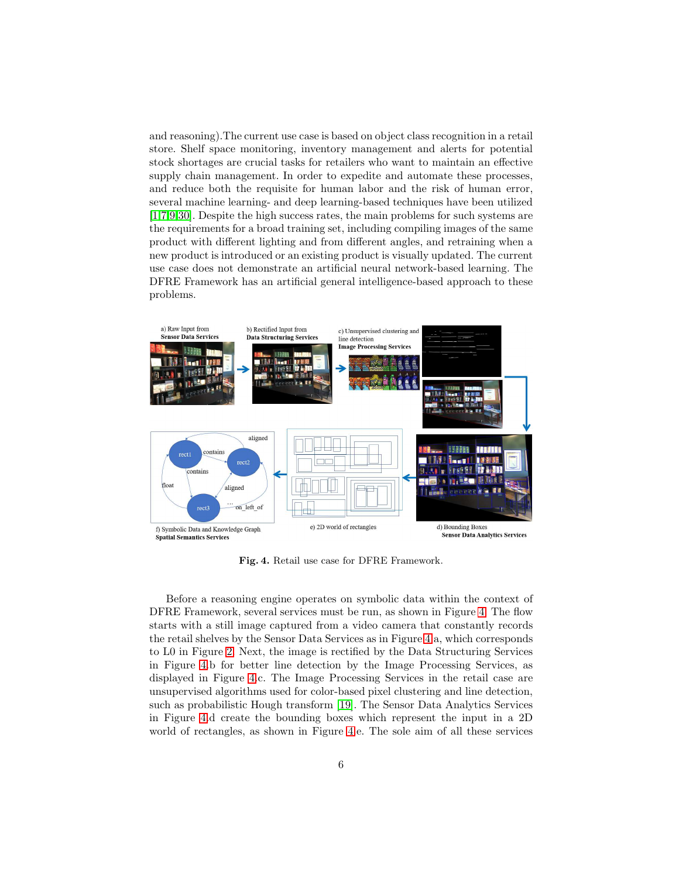and reasoning).The current use case is based on object class recognition in a retail store. Shelf space monitoring, inventory management and alerts for potential stock shortages are crucial tasks for retailers who want to maintain an effective supply chain management. In order to expedite and automate these processes, and reduce both the requisite for human labor and the risk of human error, several machine learning- and deep learning-based techniques have been utilized [\[1,](#page-11-0)[7](#page-12-7)[,9,](#page-12-8)[30\]](#page-13-9). Despite the high success rates, the main problems for such systems are the requirements for a broad training set, including compiling images of the same product with different lighting and from different angles, and retraining when a new product is introduced or an existing product is visually updated. The current use case does not demonstrate an artificial neural network-based learning. The DFRE Framework has an artificial general intelligence-based approach to these problems.



<span id="page-5-0"></span>Fig. 4. Retail use case for DFRE Framework.

Before a reasoning engine operates on symbolic data within the context of DFRE Framework, several services must be run, as shown in Figure [4.](#page-5-0) The flow starts with a still image captured from a video camera that constantly records the retail shelves by the Sensor Data Services as in Figure [4.](#page-5-0)a, which corresponds to L0 in Figure [2.](#page-3-0) Next, the image is rectified by the Data Structuring Services in Figure [4.](#page-5-0)b for better line detection by the Image Processing Services, as displayed in Figure [4.](#page-5-0)c. The Image Processing Services in the retail case are unsupervised algorithms used for color-based pixel clustering and line detection, such as probabilistic Hough transform [\[19\]](#page-12-9). The Sensor Data Analytics Services in Figure [4.](#page-5-0)d create the bounding boxes which represent the input in a 2D world of rectangles, as shown in Figure [4.](#page-5-0)e. The sole aim of all these services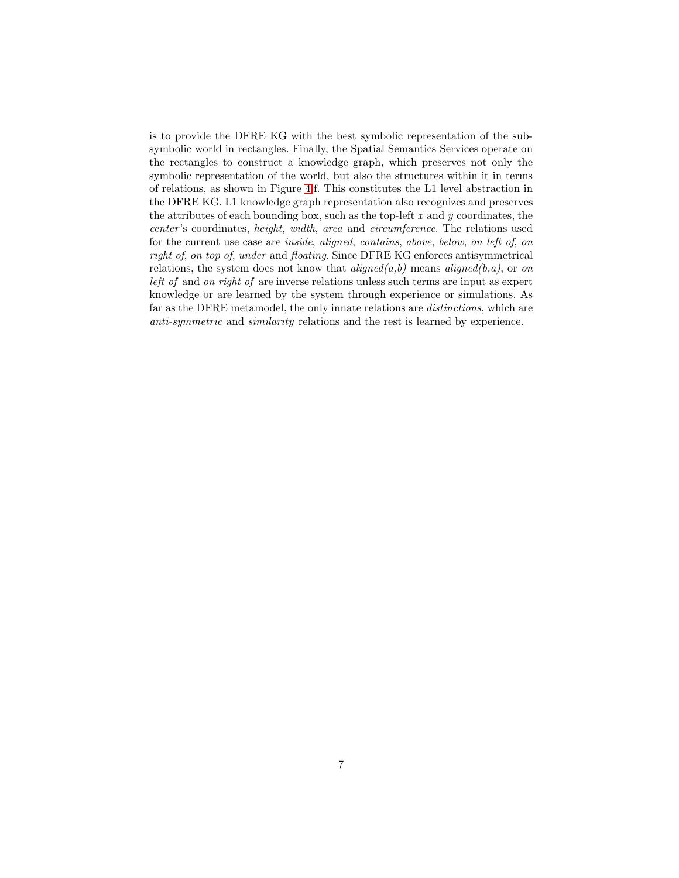is to provide the DFRE KG with the best symbolic representation of the subsymbolic world in rectangles. Finally, the Spatial Semantics Services operate on the rectangles to construct a knowledge graph, which preserves not only the symbolic representation of the world, but also the structures within it in terms of relations, as shown in Figure [4.](#page-5-0)f. This constitutes the L1 level abstraction in the DFRE KG. L1 knowledge graph representation also recognizes and preserves the attributes of each bounding box, such as the top-left  $x$  and  $y$  coordinates, the center 's coordinates, height, width, area and circumference. The relations used for the current use case are inside, aligned, contains, above, below, on left of, on right of, on top of, under and floating. Since DFRE KG enforces antisymmetrical relations, the system does not know that  $aligned(a,b)$  means  $aligned(b,a)$ , or on left of and on right of are inverse relations unless such terms are input as expert knowledge or are learned by the system through experience or simulations. As far as the DFRE metamodel, the only innate relations are distinctions, which are anti-symmetric and similarity relations and the rest is learned by experience.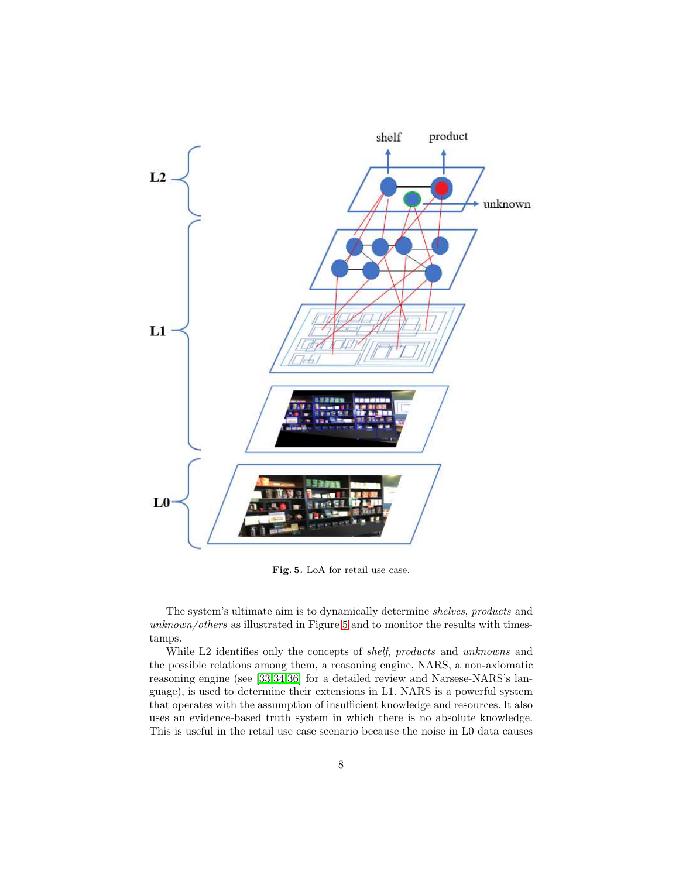

<span id="page-7-0"></span>Fig. 5. LoA for retail use case.

The system's ultimate aim is to dynamically determine shelves, products and unknown/others as illustrated in Figure [5](#page-7-0) and to monitor the results with timestamps.

While L2 identifies only the concepts of *shelf*, products and unknowns and the possible relations among them, a reasoning engine, NARS, a non-axiomatic reasoning engine (see [\[33,](#page-13-1)[34,](#page-13-2)[36\]](#page-13-10) for a detailed review and Narsese-NARS's language), is used to determine their extensions in L1. NARS is a powerful system that operates with the assumption of insufficient knowledge and resources. It also uses an evidence-based truth system in which there is no absolute knowledge. This is useful in the retail use case scenario because the noise in L0 data causes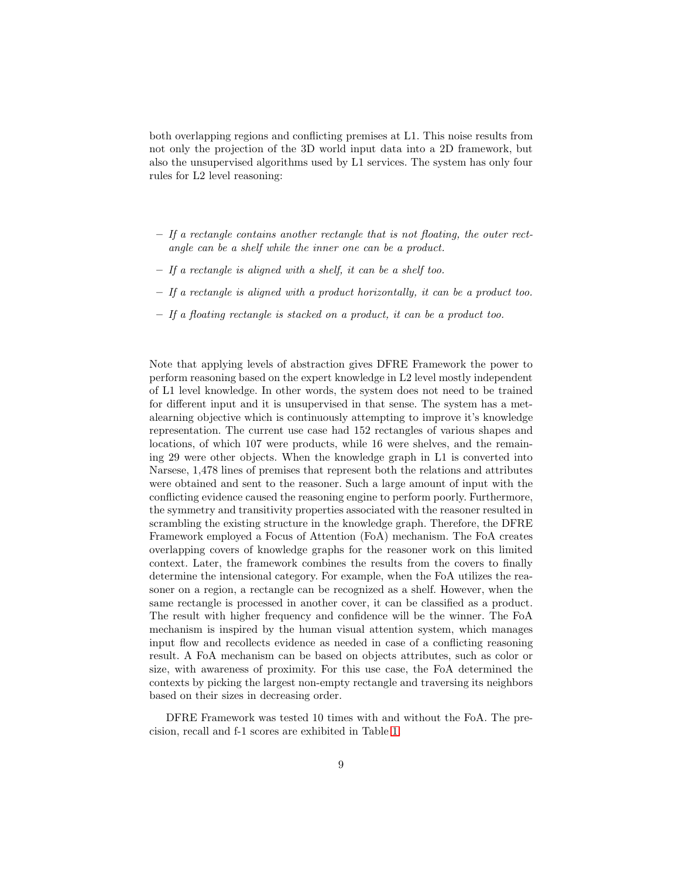both overlapping regions and conflicting premises at L1. This noise results from not only the projection of the 3D world input data into a 2D framework, but also the unsupervised algorithms used by L1 services. The system has only four rules for L2 level reasoning:

- $-$  If a rectangle contains another rectangle that is not floating, the outer rectangle can be a shelf while the inner one can be a product.
- If a rectangle is aligned with a shelf, it can be a shelf too.
- If a rectangle is aligned with a product horizontally, it can be a product too.
- If a floating rectangle is stacked on a product, it can be a product too.

Note that applying levels of abstraction gives DFRE Framework the power to perform reasoning based on the expert knowledge in L2 level mostly independent of L1 level knowledge. In other words, the system does not need to be trained for different input and it is unsupervised in that sense. The system has a metalearning objective which is continuously attempting to improve it's knowledge representation. The current use case had 152 rectangles of various shapes and locations, of which 107 were products, while 16 were shelves, and the remaining 29 were other objects. When the knowledge graph in L1 is converted into Narsese, 1,478 lines of premises that represent both the relations and attributes were obtained and sent to the reasoner. Such a large amount of input with the conflicting evidence caused the reasoning engine to perform poorly. Furthermore, the symmetry and transitivity properties associated with the reasoner resulted in scrambling the existing structure in the knowledge graph. Therefore, the DFRE Framework employed a Focus of Attention (FoA) mechanism. The FoA creates overlapping covers of knowledge graphs for the reasoner work on this limited context. Later, the framework combines the results from the covers to finally determine the intensional category. For example, when the FoA utilizes the reasoner on a region, a rectangle can be recognized as a shelf. However, when the same rectangle is processed in another cover, it can be classified as a product. The result with higher frequency and confidence will be the winner. The FoA mechanism is inspired by the human visual attention system, which manages input flow and recollects evidence as needed in case of a conflicting reasoning result. A FoA mechanism can be based on objects attributes, such as color or size, with awareness of proximity. For this use case, the FoA determined the contexts by picking the largest non-empty rectangle and traversing its neighbors based on their sizes in decreasing order.

DFRE Framework was tested 10 times with and without the FoA. The precision, recall and f-1 scores are exhibited in Table [1.](#page-9-0)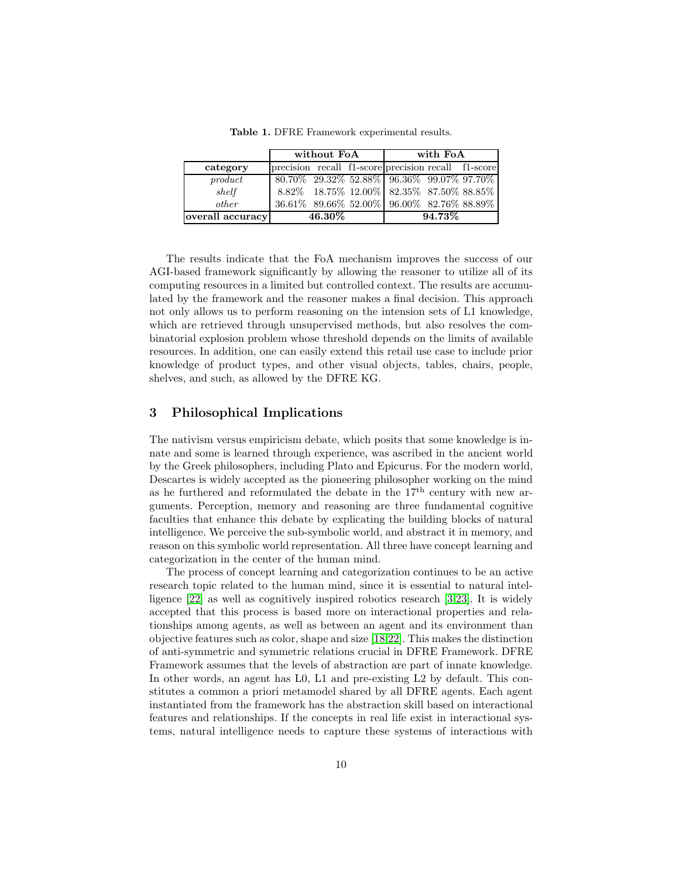|                  | without FoA                                         |  |  | with FoA                                  |  |  |
|------------------|-----------------------------------------------------|--|--|-------------------------------------------|--|--|
| category         | precision recall f1-score precision recall f1-score |  |  |                                           |  |  |
| product          | $80.70\%$ 29.32\% 52.88\% 96.36\% 99.07\% 97.70\%   |  |  |                                           |  |  |
| shell            |                                                     |  |  | 8.82% 18.75% 12.00% 82.35% 87.50% 88.85%  |  |  |
| other            |                                                     |  |  | 36.61% 89.66% 52.00% 96.00% 82.76% 88.89% |  |  |
| overall accuracy | $46.30\%$                                           |  |  | $94.73\%$                                 |  |  |

<span id="page-9-0"></span>Table 1. DFRE Framework experimental results.

The results indicate that the FoA mechanism improves the success of our AGI-based framework significantly by allowing the reasoner to utilize all of its computing resources in a limited but controlled context. The results are accumulated by the framework and the reasoner makes a final decision. This approach not only allows us to perform reasoning on the intension sets of L1 knowledge, which are retrieved through unsupervised methods, but also resolves the combinatorial explosion problem whose threshold depends on the limits of available resources. In addition, one can easily extend this retail use case to include prior knowledge of product types, and other visual objects, tables, chairs, people, shelves, and such, as allowed by the DFRE KG.

#### 3 Philosophical Implications

The nativism versus empiricism debate, which posits that some knowledge is innate and some is learned through experience, was ascribed in the ancient world by the Greek philosophers, including Plato and Epicurus. For the modern world, Descartes is widely accepted as the pioneering philosopher working on the mind as he furthered and reformulated the debate in the  $17<sup>th</sup>$  century with new arguments. Perception, memory and reasoning are three fundamental cognitive faculties that enhance this debate by explicating the building blocks of natural intelligence. We perceive the sub-symbolic world, and abstract it in memory, and reason on this symbolic world representation. All three have concept learning and categorization in the center of the human mind.

The process of concept learning and categorization continues to be an active research topic related to the human mind, since it is essential to natural intelligence [\[22\]](#page-12-10) as well as cognitively inspired robotics research [\[3](#page-11-1)[,23\]](#page-12-11). It is widely accepted that this process is based more on interactional properties and relationships among agents, as well as between an agent and its environment than objective features such as color, shape and size [\[18](#page-12-12)[,22\]](#page-12-10). This makes the distinction of anti-symmetric and symmetric relations crucial in DFRE Framework. DFRE Framework assumes that the levels of abstraction are part of innate knowledge. In other words, an agent has L0, L1 and pre-existing L2 by default. This constitutes a common a priori metamodel shared by all DFRE agents. Each agent instantiated from the framework has the abstraction skill based on interactional features and relationships. If the concepts in real life exist in interactional systems, natural intelligence needs to capture these systems of interactions with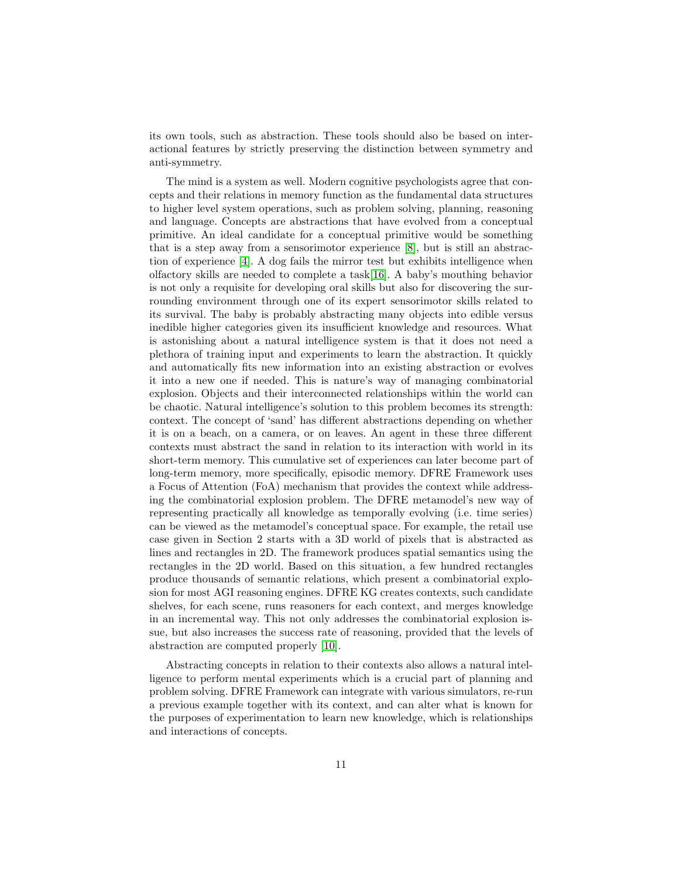its own tools, such as abstraction. These tools should also be based on interactional features by strictly preserving the distinction between symmetry and anti-symmetry.

The mind is a system as well. Modern cognitive psychologists agree that concepts and their relations in memory function as the fundamental data structures to higher level system operations, such as problem solving, planning, reasoning and language. Concepts are abstractions that have evolved from a conceptual primitive. An ideal candidate for a conceptual primitive would be something that is a step away from a sensorimotor experience [\[8\]](#page-12-13), but is still an abstraction of experience [\[4\]](#page-12-14). A dog fails the mirror test but exhibits intelligence when olfactory skills are needed to complete a task[\[16\]](#page-12-15). A baby's mouthing behavior is not only a requisite for developing oral skills but also for discovering the surrounding environment through one of its expert sensorimotor skills related to its survival. The baby is probably abstracting many objects into edible versus inedible higher categories given its insufficient knowledge and resources. What is astonishing about a natural intelligence system is that it does not need a plethora of training input and experiments to learn the abstraction. It quickly and automatically fits new information into an existing abstraction or evolves it into a new one if needed. This is nature's way of managing combinatorial explosion. Objects and their interconnected relationships within the world can be chaotic. Natural intelligence's solution to this problem becomes its strength: context. The concept of 'sand' has different abstractions depending on whether it is on a beach, on a camera, or on leaves. An agent in these three different contexts must abstract the sand in relation to its interaction with world in its short-term memory. This cumulative set of experiences can later become part of long-term memory, more specifically, episodic memory. DFRE Framework uses a Focus of Attention (FoA) mechanism that provides the context while addressing the combinatorial explosion problem. The DFRE metamodel's new way of representing practically all knowledge as temporally evolving (i.e. time series) can be viewed as the metamodel's conceptual space. For example, the retail use case given in Section 2 starts with a 3D world of pixels that is abstracted as lines and rectangles in 2D. The framework produces spatial semantics using the rectangles in the 2D world. Based on this situation, a few hundred rectangles produce thousands of semantic relations, which present a combinatorial explosion for most AGI reasoning engines. DFRE KG creates contexts, such candidate shelves, for each scene, runs reasoners for each context, and merges knowledge in an incremental way. This not only addresses the combinatorial explosion issue, but also increases the success rate of reasoning, provided that the levels of abstraction are computed properly [\[10\]](#page-12-16).

Abstracting concepts in relation to their contexts also allows a natural intelligence to perform mental experiments which is a crucial part of planning and problem solving. DFRE Framework can integrate with various simulators, re-run a previous example together with its context, and can alter what is known for the purposes of experimentation to learn new knowledge, which is relationships and interactions of concepts.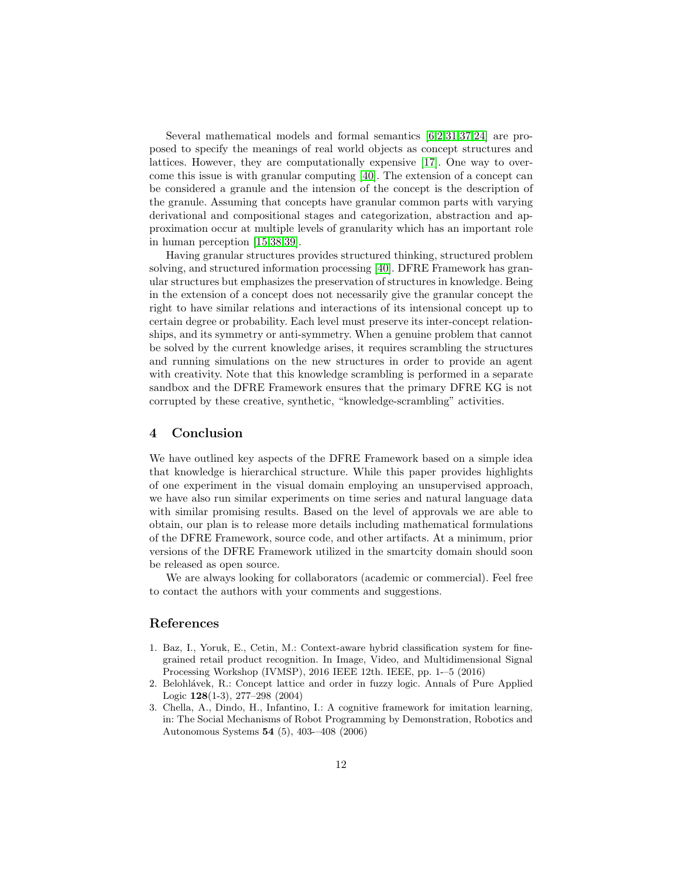Several mathematical models and formal semantics [\[6,](#page-12-17)[2](#page-11-2)[,31,](#page-13-11)[37,](#page-13-12)[24\]](#page-12-18) are proposed to specify the meanings of real world objects as concept structures and lattices. However, they are computationally expensive [\[17\]](#page-12-19). One way to overcome this issue is with granular computing [\[40\]](#page-13-13). The extension of a concept can be considered a granule and the intension of the concept is the description of the granule. Assuming that concepts have granular common parts with varying derivational and compositional stages and categorization, abstraction and approximation occur at multiple levels of granularity which has an important role in human perception [\[15,](#page-12-20)[38,](#page-13-14)[39\]](#page-13-15).

Having granular structures provides structured thinking, structured problem solving, and structured information processing [\[40\]](#page-13-13). DFRE Framework has granular structures but emphasizes the preservation of structures in knowledge. Being in the extension of a concept does not necessarily give the granular concept the right to have similar relations and interactions of its intensional concept up to certain degree or probability. Each level must preserve its inter-concept relationships, and its symmetry or anti-symmetry. When a genuine problem that cannot be solved by the current knowledge arises, it requires scrambling the structures and running simulations on the new structures in order to provide an agent with creativity. Note that this knowledge scrambling is performed in a separate sandbox and the DFRE Framework ensures that the primary DFRE KG is not corrupted by these creative, synthetic, "knowledge-scrambling" activities.

#### 4 Conclusion

We have outlined key aspects of the DFRE Framework based on a simple idea that knowledge is hierarchical structure. While this paper provides highlights of one experiment in the visual domain employing an unsupervised approach, we have also run similar experiments on time series and natural language data with similar promising results. Based on the level of approvals we are able to obtain, our plan is to release more details including mathematical formulations of the DFRE Framework, source code, and other artifacts. At a minimum, prior versions of the DFRE Framework utilized in the smartcity domain should soon be released as open source.

We are always looking for collaborators (academic or commercial). Feel free to contact the authors with your comments and suggestions.

#### <span id="page-11-0"></span>References

- 1. Baz, I., Yoruk, E., Cetin, M.: Context-aware hybrid classification system for finegrained retail product recognition. In Image, Video, and Multidimensional Signal Processing Workshop (IVMSP), 2016 IEEE 12th. IEEE, pp. 1-–5 (2016)
- <span id="page-11-2"></span>2. Belohlávek, R.: Concept lattice and order in fuzzy logic. Annals of Pure Applied Logic 128(1-3), 277–298 (2004)
- <span id="page-11-1"></span>3. Chella, A., Dindo, H., Infantino, I.: A cognitive framework for imitation learning, in: The Social Mechanisms of Robot Programming by Demonstration, Robotics and Autonomous Systems 54 (5), 403-–408 (2006)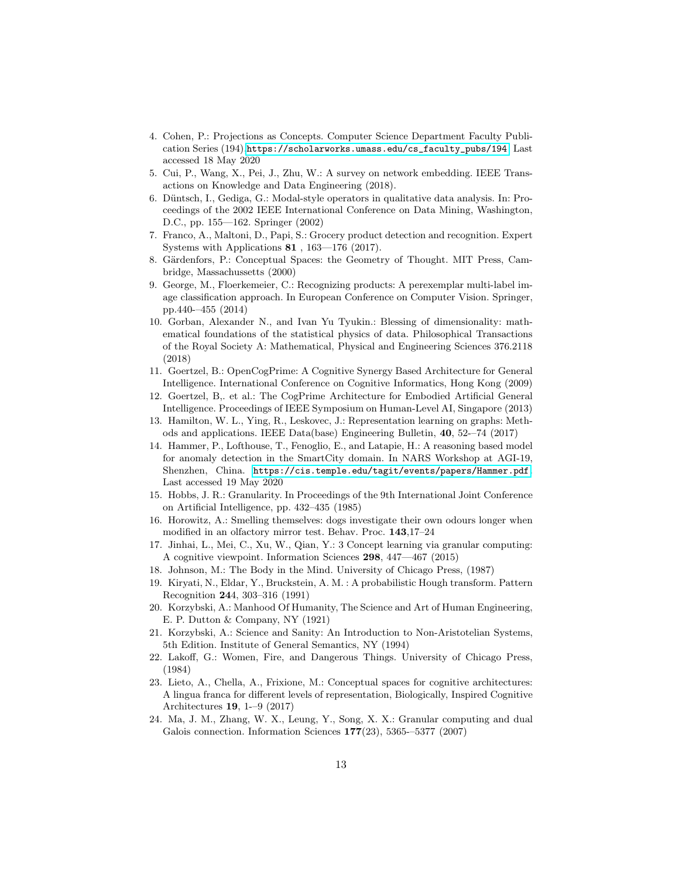- <span id="page-12-14"></span>4. Cohen, P.: Projections as Concepts. Computer Science Department Faculty Publication Series (194),[https://scholarworks.umass.edu/cs\\_faculty\\_pubs/194](https://scholarworks.umass.edu/cs_faculty_pubs/194). Last accessed 18 May 2020
- <span id="page-12-17"></span><span id="page-12-5"></span>5. Cui, P., Wang, X., Pei, J., Zhu, W.: A survey on network embedding. IEEE Transactions on Knowledge and Data Engineering (2018).
- 6. D¨untsch, I., Gediga, G.: Modal-style operators in qualitative data analysis. In: Proceedings of the 2002 IEEE International Conference on Data Mining, Washington, D.C., pp. 155—162. Springer (2002)
- <span id="page-12-13"></span><span id="page-12-7"></span>7. Franco, A., Maltoni, D., Papi, S.: Grocery product detection and recognition. Expert Systems with Applications 81 , 163—176 (2017).
- <span id="page-12-8"></span>8. Gärdenfors, P.: Conceptual Spaces: the Geometry of Thought. MIT Press, Cambridge, Massachussetts (2000)
- 9. George, M., Floerkemeier, C.: Recognizing products: A perexemplar multi-label image classification approach. In European Conference on Computer Vision. Springer, pp.440-–455 (2014)
- <span id="page-12-16"></span>10. Gorban, Alexander N., and Ivan Yu Tyukin.: Blessing of dimensionality: mathematical foundations of the statistical physics of data. Philosophical Transactions of the Royal Society A: Mathematical, Physical and Engineering Sciences 376.2118 (2018)
- <span id="page-12-0"></span>11. Goertzel, B.: OpenCogPrime: A Cognitive Synergy Based Architecture for General Intelligence. International Conference on Cognitive Informatics, Hong Kong (2009)
- <span id="page-12-1"></span>12. Goertzel, B,. et al.: The CogPrime Architecture for Embodied Artificial General Intelligence. Proceedings of IEEE Symposium on Human-Level AI, Singapore (2013)
- <span id="page-12-6"></span>13. Hamilton, W. L., Ying, R., Leskovec, J.: Representation learning on graphs: Methods and applications. IEEE Data(base) Engineering Bulletin, 40, 52-–74 (2017)
- <span id="page-12-2"></span>14. Hammer, P., Lofthouse, T., Fenoglio, E., and Latapie, H.: A reasoning based model for anomaly detection in the SmartCity domain. In NARS Workshop at AGI-19, Shenzhen, China. <https://cis.temple.edu/tagit/events/papers/Hammer.pdf>. Last accessed 19 May 2020
- <span id="page-12-20"></span>15. Hobbs, J. R.: Granularity. In Proceedings of the 9th International Joint Conference on Artificial Intelligence, pp. 432–435 (1985)
- <span id="page-12-15"></span>16. Horowitz, A.: Smelling themselves: dogs investigate their own odours longer when modified in an olfactory mirror test. Behav. Proc. 143,17–24
- <span id="page-12-19"></span>17. Jinhai, L., Mei, C., Xu, W., Qian, Y.: 3 Concept learning via granular computing: A cognitive viewpoint. Information Sciences 298, 447—467 (2015)
- <span id="page-12-12"></span><span id="page-12-9"></span>18. Johnson, M.: The Body in the Mind. University of Chicago Press, (1987)
- 19. Kiryati, N., Eldar, Y., Bruckstein, A. M. : A probabilistic Hough transform. Pattern Recognition 244, 303–316 (1991)
- <span id="page-12-4"></span>20. Korzybski, A.: Manhood Of Humanity, The Science and Art of Human Engineering, E. P. Dutton & Company, NY (1921)
- <span id="page-12-3"></span>21. Korzybski, A.: Science and Sanity: An Introduction to Non-Aristotelian Systems, 5th Edition. Institute of General Semantics, NY (1994)
- <span id="page-12-10"></span>22. Lakoff, G.: Women, Fire, and Dangerous Things. University of Chicago Press, (1984)
- <span id="page-12-11"></span>23. Lieto, A., Chella, A., Frixione, M.: Conceptual spaces for cognitive architectures: A lingua franca for different levels of representation, Biologically, Inspired Cognitive Architectures 19, 1-–9 (2017)
- <span id="page-12-18"></span>24. Ma, J. M., Zhang, W. X., Leung, Y., Song, X. X.: Granular computing and dual Galois connection. Information Sciences  $177(23)$ , 5365-–5377 (2007)